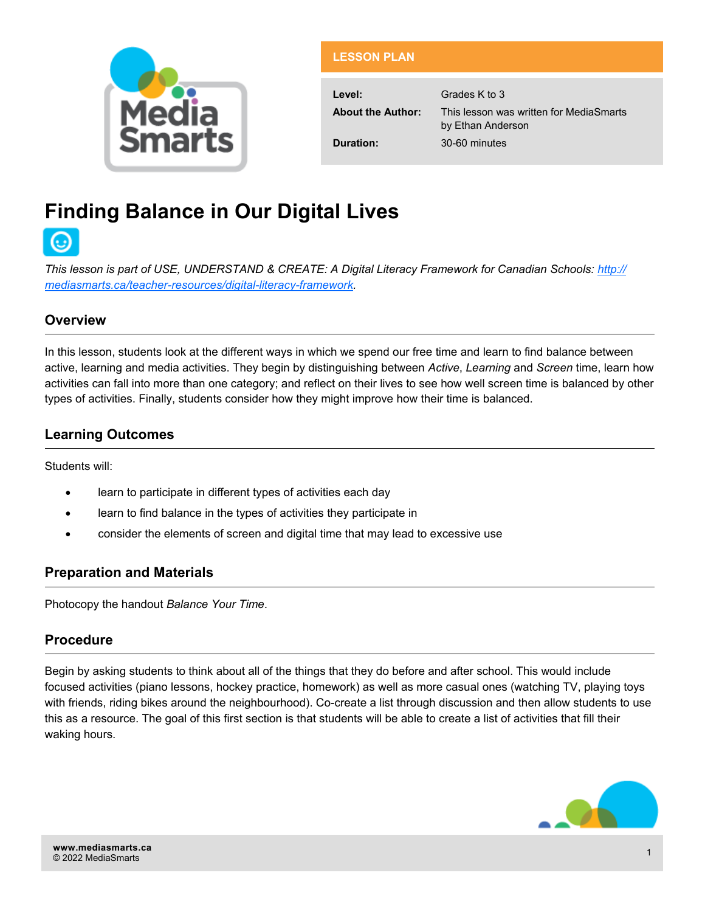

| <b>LESSON PLAN</b>       |                                                              |
|--------------------------|--------------------------------------------------------------|
|                          |                                                              |
| Level:                   | Grades K to 3                                                |
| <b>About the Author:</b> | This lesson was written for MediaSmarts<br>by Ethan Anderson |
| Duration:                | 30-60 minutes                                                |

# **Finding Balance in Our Digital Lives**



**This lesson is part of USE, UNDERSTAND & CREATE: A Digital Literacy Framework for Canadian Schools: [http://](http://mediasmarts.ca/teacher-resources/digital-literacy-framework)** *[mediasmarts.ca/teacher](http://mediasmarts.ca/teacher-resources/digital-literacy-framework)-resources/digital-literacy-framework.*

## **Overview**

In this lesson, students look at the different ways in which we spend our free time and learn to find balance between active, learning and media activities. They begin by distinguishing between *Active*, *Learning* and *Screen* time, learn how activities can fall into more than one category; and reflect on their lives to see how well screen time is balanced by other types of activities. Finally, students consider how they might improve how their time is balanced.

# **Learning Outcomes**

Students will:

- learn to participate in different types of activities each day
- learn to find balance in the types of activities they participate in
- consider the elements of screen and digital time that may lead to excessive use

## **Preparation and Materials**

Photocopy the handout *Balance Your Time*.

# **Procedure**

Begin by asking students to think about all of the things that they do before and after school. This would include focused activities (piano lessons, hockey practice, homework) as well as more casual ones (watching TV, playing toys with friends, riding bikes around the neighbourhood). Co-create a list through discussion and then allow students to use this as a resource. The goal of this first section is that students will be able to create a list of activities that fill their waking hours.

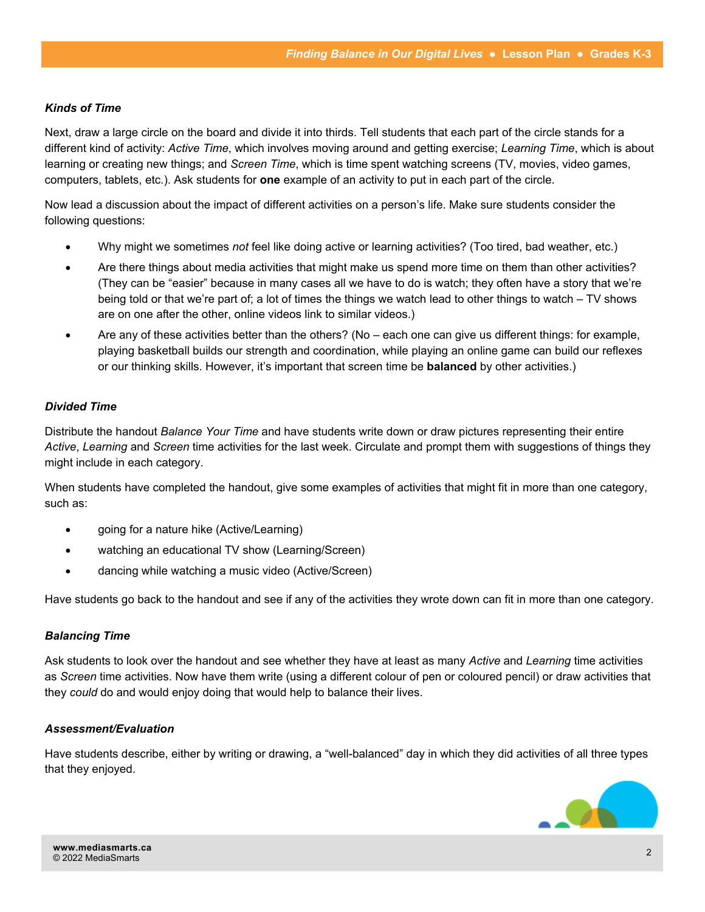## *Kinds of Time*

Next, draw a large circle on the board and divide it into thirds. Tell students that each part of the circle stands for a different kind of activity: *Active Time*, which involves moving around and getting exercise; *Learning Time*, which is about learning or creating new things; and *Screen Time*, which is time spent watching screens (TV, movies, video games, computers, tablets, etc.). Ask students for **one** example of an activity to put in each part of the circle.

Now lead a discussion about the impact of different activities on a person's life. Make sure students consider the following questions:

- Why might we sometimes *not* feel like doing active or learning activities? (Too tired, bad weather, etc.)
- Are there things about media activities that might make us spend more time on them than other activities? (They can be "easier" because in many cases all we have to do is watch; they often have a story that we're being told or that we're part of; a lot of times the things we watch lead to other things to watch – TV shows are on one after the other, online videos link to similar videos.)
- Are any of these activities better than the others? (No each one can give us different things: for example, playing basketball builds our strength and coordination, while playing an online game can build our reflexes or our thinking skills. However, it's important that screen time be **balanced** by other activities.)

## *Divided Time*

Distribute the handout *Balance Your Time* and have students write down or draw pictures representing their entire *Active*, *Learning* and *Screen* time activities for the last week. Circulate and prompt them with suggestions of things they might include in each category.

When students have completed the handout, give some examples of activities that might fit in more than one category, such as:

- going for a nature hike (Active/Learning)
- watching an educational TV show (Learning/Screen)
- dancing while watching a music video (Active/Screen)

Have students go back to the handout and see if any of the activities they wrote down can fit in more than one category.

#### *Balancing Time*

Ask students to look over the handout and see whether they have at least as many *Active* and *Learning* time activities as *Screen* time activities. Now have them write (using a different colour of pen or coloured pencil) or draw activities that they *could* do and would enjoy doing that would help to balance their lives.

#### *Assessment/Evaluation*

Have students describe, either by writing or drawing, a "well-balanced" day in which they did activities of all three types that they enjoyed.

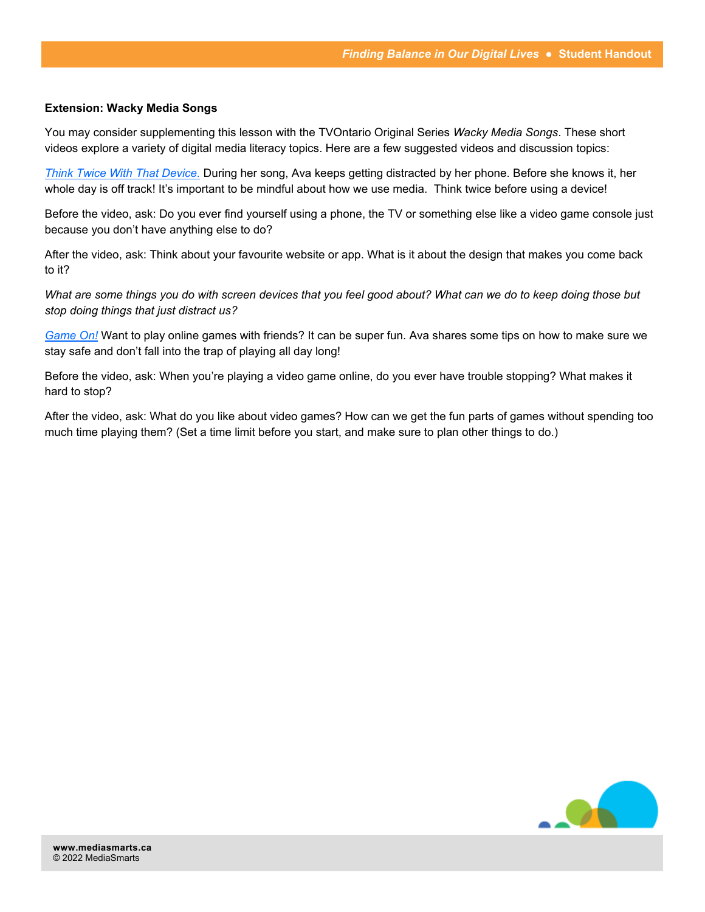### **Extension: Wacky Media Songs**

You may consider supplementing this lesson with the TVOntario Original Series *Wacky Media Songs*. These short videos explore a variety of digital media literacy topics. Here are a few suggested videos and discussion topics:

*[Think Twice With That Device.](https://www.tvokids.com/school-age/wacky-media-songs/videos/think-twice-device)* During her song, Ava keeps getting distracted by her phone. Before she knows it, her whole day is off track! It's important to be mindful about how we use media. Think twice before using a device!

Before the video, ask: Do you ever find yourself using a phone, the TV or something else like a video game console just because you don't have anything else to do?

After the video, ask: Think about your favourite website or app. What is it about the design that makes you come back to it?

*What are some things you do with screen devices that you feel good about? What can we do to keep doing those but stop doing things that just distract us?*

*[Game On!](https://www.tvokids.com/school-age/wacky-media-songs/videos/game)* Want to play online games with friends? It can be super fun. Ava shares some tips on how to make sure we stay safe and don't fall into the trap of playing all day long!

Before the video, ask: When you're playing a video game online, do you ever have trouble stopping? What makes it hard to stop?

After the video, ask: What do you like about video games? How can we get the fun parts of games without spending too much time playing them? (Set a time limit before you start, and make sure to plan other things to do.)